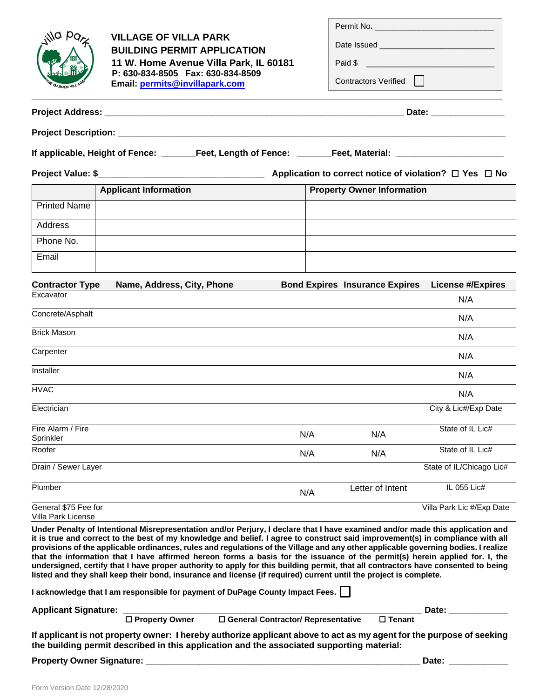| la po<br>GARDEN VIL                                                                                       | <b>VILLAGE OF VILLA PARK</b><br><b>BUILDING PERMIT APPLICATION</b><br>11 W. Home Avenue Villa Park, IL 60181<br>P: 630-834-8505  Fax: 630-834-8509<br>Email: permits@invillapark.com |     | Permit No.<br>Contractors Verified    |                           |  |  |  |
|-----------------------------------------------------------------------------------------------------------|--------------------------------------------------------------------------------------------------------------------------------------------------------------------------------------|-----|---------------------------------------|---------------------------|--|--|--|
|                                                                                                           |                                                                                                                                                                                      |     |                                       |                           |  |  |  |
|                                                                                                           |                                                                                                                                                                                      |     |                                       |                           |  |  |  |
| If applicable, Height of Fence: _______Feet, Length of Fence: ______Feet, Material: _____________________ |                                                                                                                                                                                      |     |                                       |                           |  |  |  |
|                                                                                                           |                                                                                                                                                                                      |     |                                       |                           |  |  |  |
|                                                                                                           | <b>Applicant Information</b>                                                                                                                                                         |     | <b>Property Owner Information</b>     |                           |  |  |  |
| <b>Printed Name</b>                                                                                       |                                                                                                                                                                                      |     |                                       |                           |  |  |  |
| Address                                                                                                   |                                                                                                                                                                                      |     |                                       |                           |  |  |  |
| Phone No.                                                                                                 |                                                                                                                                                                                      |     |                                       |                           |  |  |  |
| Email                                                                                                     |                                                                                                                                                                                      |     |                                       |                           |  |  |  |
| <b>Contractor Type</b><br>Excavator                                                                       | Name, Address, City, Phone                                                                                                                                                           |     | <b>Bond Expires Insurance Expires</b> | <b>License #/Expires</b>  |  |  |  |
| Concrete/Asphalt                                                                                          |                                                                                                                                                                                      |     |                                       | N/A                       |  |  |  |
|                                                                                                           |                                                                                                                                                                                      |     |                                       | N/A                       |  |  |  |
| <b>Brick Mason</b>                                                                                        |                                                                                                                                                                                      |     |                                       | N/A                       |  |  |  |
| Carpenter                                                                                                 |                                                                                                                                                                                      |     |                                       | N/A                       |  |  |  |
| Installer                                                                                                 |                                                                                                                                                                                      |     |                                       | N/A                       |  |  |  |
| <b>HVAC</b>                                                                                               |                                                                                                                                                                                      |     |                                       | N/A                       |  |  |  |
| Electrician                                                                                               |                                                                                                                                                                                      |     |                                       | City & Lic#/Exp Date      |  |  |  |
| Fire Alarm / Fire<br>Sprinkler                                                                            |                                                                                                                                                                                      | N/A | N/A                                   | State of IL Lic#          |  |  |  |
| Roofer                                                                                                    |                                                                                                                                                                                      | N/A | N/A                                   | State of IL Lic#          |  |  |  |
| Drain / Sewer Layer                                                                                       |                                                                                                                                                                                      |     |                                       | State of IL/Chicago Lic#  |  |  |  |
| Plumber                                                                                                   |                                                                                                                                                                                      | N/A | Letter of Intent                      | IL 055 Lic#               |  |  |  |
| General \$75 Fee for<br>Villa Park License                                                                |                                                                                                                                                                                      |     |                                       | Villa Park Lic #/Exp Date |  |  |  |

**Under Penalty of Intentional Misrepresentation and/or Perjury, I declare that I have examined and/or made this application and it is true and correct to the best of my knowledge and belief. I agree to construct said improvement(s) in compliance with all provisions of the applicable ordinances, rules and regulations of the Village and any other applicable governing bodies. I realize that the information that I have affirmed hereon forms a basis for the issuance of the permit(s) herein applied for. I, the undersigned, certify that I have proper authority to apply for this building permit, that all contractors have consented to being listed and they shall keep their bond, insurance and license (if required) current until the project is complete.** 

**I acknowledge that I am responsible for payment of DuPage County Impact Fees.** 

**Applicant Signature: \_\_\_\_\_\_\_\_\_\_\_\_\_\_\_\_\_\_\_\_\_\_\_\_\_\_\_\_\_\_\_\_\_\_\_\_\_\_\_\_\_\_\_\_\_\_\_\_\_\_\_\_\_\_\_\_\_\_\_\_\_ Date: \_\_\_\_\_\_\_\_\_\_\_\_**

|  | $\Box$ Property Owner |  |
|--|-----------------------|--|

 $\Box$  **General Contractor/ Representative**   $\Box$  Tenant

**If applicant is not property owner: I hereby authorize applicant above to act as my agent for the purpose of seeking the building permit described in this application and the associated supporting material:** 

| <b>Property Owner Signature:</b> |  |  |  |
|----------------------------------|--|--|--|
|----------------------------------|--|--|--|